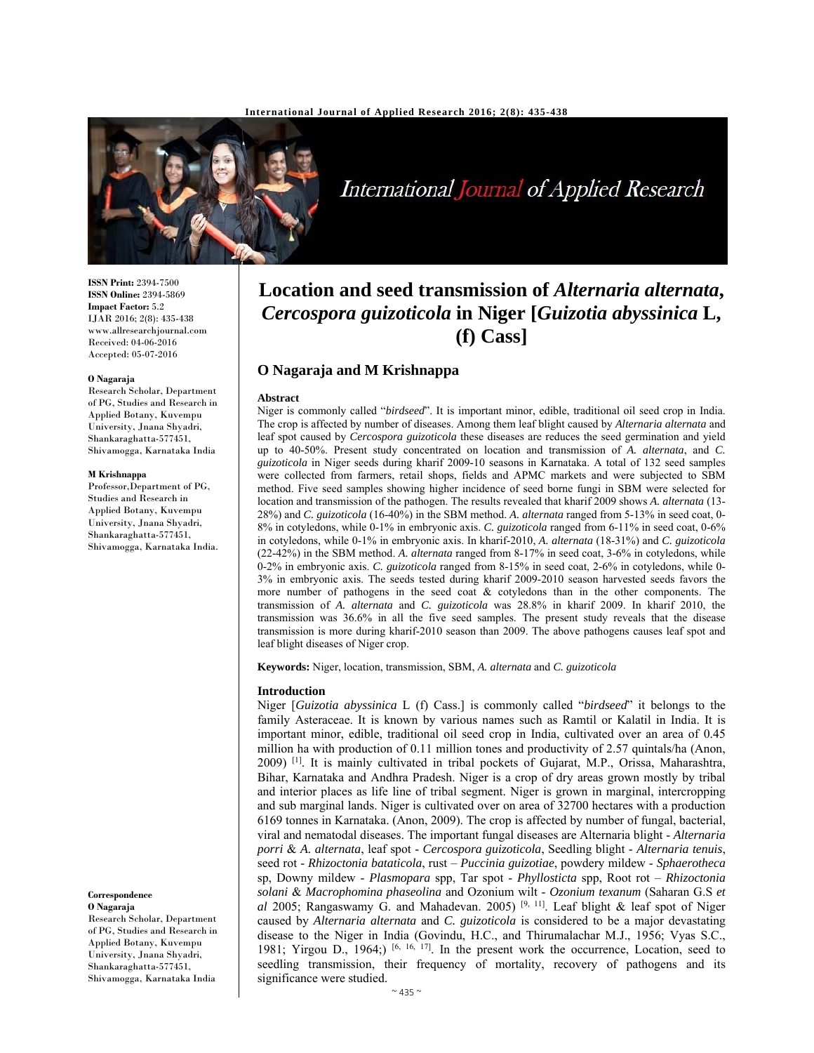

International Journal of Applied Research

**ISSN Print:** 2394-7500 **ISSN Online:** 2394-5869 **Impact Factor:** 5.2 IJAR 2016; 2(8): 435-438 www.allresearchjournal.com Received: 04-06-2016 Accepted: 05-07-2016

#### **O Nagaraja**

Research Scholar, Department of PG, Studies and Research in Applied Botany, Kuvempu University, Jnana Shyadri, Shankaraghatta-577451, Shivamogga, Karnataka India

#### **M Krishnappa**

Professor,Department of PG, Studies and Research in Applied Botany, Kuvempu University, Jnana Shyadri, Shankaraghatta-577451, Shivamogga, Karnataka India.

#### **Correspondence O Nagaraja**

Research Scholar, Department of PG, Studies and Research in Applied Botany, Kuvempu University, Jnana Shyadri, Shankaraghatta-577451, Shivamogga, Karnataka India

# **Location and seed transmission of** *Alternaria alternata***,**  *Cercospora guizoticola* **in Niger [***Guizotia abyssinica* **L, (f) Cass]**

## **O Nagaraja and M Krishnappa**

#### **Abstract**

Niger is commonly called "*birdseed*". It is important minor, edible, traditional oil seed crop in India. The crop is affected by number of diseases. Among them leaf blight caused by *Alternaria alternata* and leaf spot caused by *Cercospora guizoticola* these diseases are reduces the seed germination and yield up to 40-50%. Present study concentrated on location and transmission of *A. alternata*, and *C. guizoticola* in Niger seeds during kharif 2009-10 seasons in Karnataka. A total of 132 seed samples were collected from farmers, retail shops, fields and APMC markets and were subjected to SBM method. Five seed samples showing higher incidence of seed borne fungi in SBM were selected for location and transmission of the pathogen. The results revealed that kharif 2009 shows *A. alternata* (13- 28%) and *C. guizoticola* (16-40%) in the SBM method. *A. alternata* ranged from 5-13% in seed coat, 0- 8% in cotyledons, while 0-1% in embryonic axis. *C. guizoticola* ranged from 6-11% in seed coat, 0-6% in cotyledons, while 0-1% in embryonic axis. In kharif-2010, *A. alternata* (18-31%) and *C. guizoticola*  (22-42%) in the SBM method. *A. alternata* ranged from 8-17% in seed coat, 3-6% in cotyledons, while 0-2% in embryonic axis. *C. guizoticola* ranged from 8-15% in seed coat, 2-6% in cotyledons, while 0- 3% in embryonic axis. The seeds tested during kharif 2009-2010 season harvested seeds favors the more number of pathogens in the seed coat & cotyledons than in the other components. The transmission of *A. alternata* and *C. guizoticola* was 28.8% in kharif 2009. In kharif 2010, the transmission was 36.6% in all the five seed samples. The present study reveals that the disease transmission is more during kharif-2010 season than 2009. The above pathogens causes leaf spot and leaf blight diseases of Niger crop.

**Keywords:** Niger, location, transmission, SBM, *A. alternata* and *C. guizoticola*

#### **Introduction**

Niger [*Guizotia abyssinica* L (f) Cass.] is commonly called "*birdseed*" it belongs to the family Asteraceae. It is known by various names such as Ramtil or Kalatil in India. It is important minor, edible, traditional oil seed crop in India, cultivated over an area of 0.45 million ha with production of 0.11 million tones and productivity of 2.57 quintals/ha (Anon, 2009) [1]. It is mainly cultivated in tribal pockets of Gujarat, M.P., Orissa, Maharashtra, Bihar, Karnataka and Andhra Pradesh. Niger is a crop of dry areas grown mostly by tribal and interior places as life line of tribal segment. Niger is grown in marginal, intercropping and sub marginal lands. Niger is cultivated over on area of 32700 hectares with a production 6169 tonnes in Karnataka. (Anon, 2009). The crop is affected by number of fungal, bacterial, viral and nematodal diseases. The important fungal diseases are Alternaria blight - *Alternaria porri* & *A. alternata*, leaf spot - *Cercospora guizoticola*, Seedling blight - *Alternaria tenuis*, seed rot - *Rhizoctonia bataticola*, rust – *Puccinia guizotiae*, powdery mildew - *Sphaerotheca* sp, Downy mildew - *Plasmopara* spp, Tar spot - *Phyllosticta* spp, Root rot – *Rhizoctonia solani* & *Macrophomina phaseolina* and Ozonium wilt - *Ozonium texanum* (Saharan G.S *et al* 2005; Rangaswamy G. and Mahadevan. 2005)<sup>[9, 11]</sup>. Leaf blight & leaf spot of Niger caused by *Alternaria alternata* and *C. guizoticola* is considered to be a major devastating disease to the Niger in India (Govindu, H.C., and Thirumalachar M.J., 1956; Vyas S.C., 1981; Yirgou D., 1964;)  $[6, 16, 17]$ . In the present work the occurrence, Location, seed to seedling transmission, their frequency of mortality, recovery of pathogens and its significance were studied.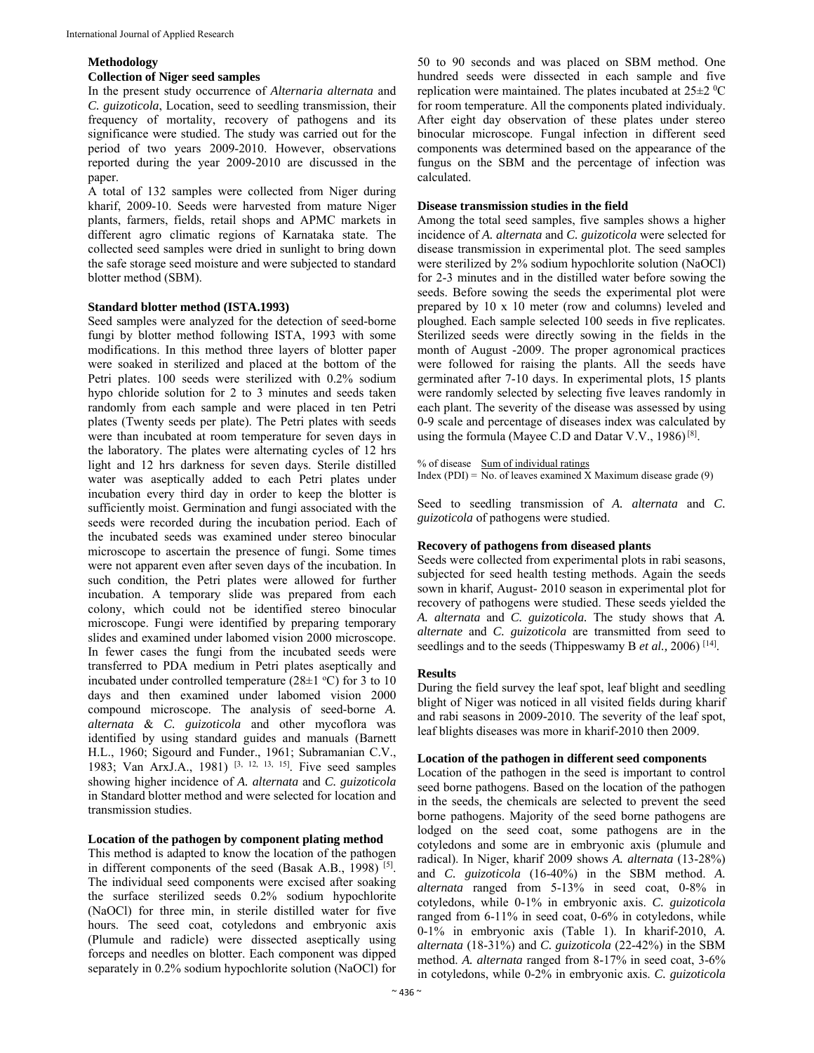## **Methodology**

## **Collection of Niger seed samples**

In the present study occurrence of *Alternaria alternata* and *C. guizoticola*, Location, seed to seedling transmission, their frequency of mortality, recovery of pathogens and its significance were studied. The study was carried out for the period of two years 2009-2010. However, observations reported during the year 2009-2010 are discussed in the paper.

A total of 132 samples were collected from Niger during kharif, 2009-10. Seeds were harvested from mature Niger plants, farmers, fields, retail shops and APMC markets in different agro climatic regions of Karnataka state. The collected seed samples were dried in sunlight to bring down the safe storage seed moisture and were subjected to standard blotter method (SBM).

#### **Standard blotter method (ISTA.1993)**

Seed samples were analyzed for the detection of seed-borne fungi by blotter method following ISTA, 1993 with some modifications. In this method three layers of blotter paper were soaked in sterilized and placed at the bottom of the Petri plates. 100 seeds were sterilized with 0.2% sodium hypo chloride solution for 2 to 3 minutes and seeds taken randomly from each sample and were placed in ten Petri plates (Twenty seeds per plate). The Petri plates with seeds were than incubated at room temperature for seven days in the laboratory. The plates were alternating cycles of 12 hrs light and 12 hrs darkness for seven days. Sterile distilled water was aseptically added to each Petri plates under incubation every third day in order to keep the blotter is sufficiently moist. Germination and fungi associated with the seeds were recorded during the incubation period. Each of the incubated seeds was examined under stereo binocular microscope to ascertain the presence of fungi. Some times were not apparent even after seven days of the incubation. In such condition, the Petri plates were allowed for further incubation. A temporary slide was prepared from each colony, which could not be identified stereo binocular microscope. Fungi were identified by preparing temporary slides and examined under labomed vision 2000 microscope. In fewer cases the fungi from the incubated seeds were transferred to PDA medium in Petri plates aseptically and incubated under controlled temperature ( $28\pm1$  °C) for 3 to 10 days and then examined under labomed vision 2000 compound microscope. The analysis of seed-borne *A. alternata* & *C. guizoticola* and other mycoflora was identified by using standard guides and manuals (Barnett H.L., 1960; Sigourd and Funder., 1961; Subramanian C.V., 1983; Van ArxJ.A., 1981) [3, 12, 13, 15]. Five seed samples showing higher incidence of *A. alternata* and *C. guizoticola*  in Standard blotter method and were selected for location and transmission studies.

## **Location of the pathogen by component plating method**

This method is adapted to know the location of the pathogen in different components of the seed (Basak A.B., 1998) [5]. The individual seed components were excised after soaking the surface sterilized seeds 0.2% sodium hypochlorite (NaOCl) for three min, in sterile distilled water for five hours. The seed coat, cotyledons and embryonic axis (Plumule and radicle) were dissected aseptically using forceps and needles on blotter. Each component was dipped separately in 0.2% sodium hypochlorite solution (NaOCl) for

50 to 90 seconds and was placed on SBM method. One hundred seeds were dissected in each sample and five replication were maintained. The plates incubated at  $25\pm2~\text{°C}$ for room temperature. All the components plated individualy. After eight day observation of these plates under stereo binocular microscope. Fungal infection in different seed components was determined based on the appearance of the fungus on the SBM and the percentage of infection was calculated.

#### **Disease transmission studies in the field**

Among the total seed samples, five samples shows a higher incidence of *A. alternata* and *C. guizoticola* were selected for disease transmission in experimental plot. The seed samples were sterilized by 2% sodium hypochlorite solution (NaOCl) for 2-3 minutes and in the distilled water before sowing the seeds. Before sowing the seeds the experimental plot were prepared by 10 x 10 meter (row and columns) leveled and ploughed. Each sample selected 100 seeds in five replicates. Sterilized seeds were directly sowing in the fields in the month of August -2009. The proper agronomical practices were followed for raising the plants. All the seeds have germinated after 7-10 days. In experimental plots, 15 plants were randomly selected by selecting five leaves randomly in each plant. The severity of the disease was assessed by using 0-9 scale and percentage of diseases index was calculated by using the formula (Mayee C.D and Datar V.V., 1986)<sup>[8]</sup>.

% of disease Sum of individual ratings

Index (PDI) = No. of leaves examined X Maximum disease grade  $(9)$ 

Seed to seedling transmission of *A. alternata* and *C. guizoticola* of pathogens were studied.

#### **Recovery of pathogens from diseased plants**

Seeds were collected from experimental plots in rabi seasons, subjected for seed health testing methods. Again the seeds sown in kharif, August- 2010 season in experimental plot for recovery of pathogens were studied. These seeds yielded the *A. alternata* and *C. guizoticola.* The study shows that *A. alternate* and *C. guizoticola* are transmitted from seed to seedlings and to the seeds (Thippeswamy B *et al.,* 2006) [14].

#### **Results**

During the field survey the leaf spot, leaf blight and seedling blight of Niger was noticed in all visited fields during kharif and rabi seasons in 2009-2010. The severity of the leaf spot, leaf blights diseases was more in kharif-2010 then 2009.

#### **Location of the pathogen in different seed components**

Location of the pathogen in the seed is important to control seed borne pathogens. Based on the location of the pathogen in the seeds, the chemicals are selected to prevent the seed borne pathogens. Majority of the seed borne pathogens are lodged on the seed coat, some pathogens are in the cotyledons and some are in embryonic axis (plumule and radical). In Niger, kharif 2009 shows *A. alternata* (13-28%) and *C. guizoticola* (16-40%) in the SBM method. *A. alternata* ranged from 5-13% in seed coat, 0-8% in cotyledons, while 0-1% in embryonic axis. *C. guizoticola*  ranged from 6-11% in seed coat, 0-6% in cotyledons, while 0-1% in embryonic axis (Table 1). In kharif-2010, *A. alternata* (18-31%) and *C. guizoticola* (22-42%) in the SBM method. *A. alternata* ranged from 8-17% in seed coat, 3-6% in cotyledons, while 0-2% in embryonic axis. *C. guizoticola*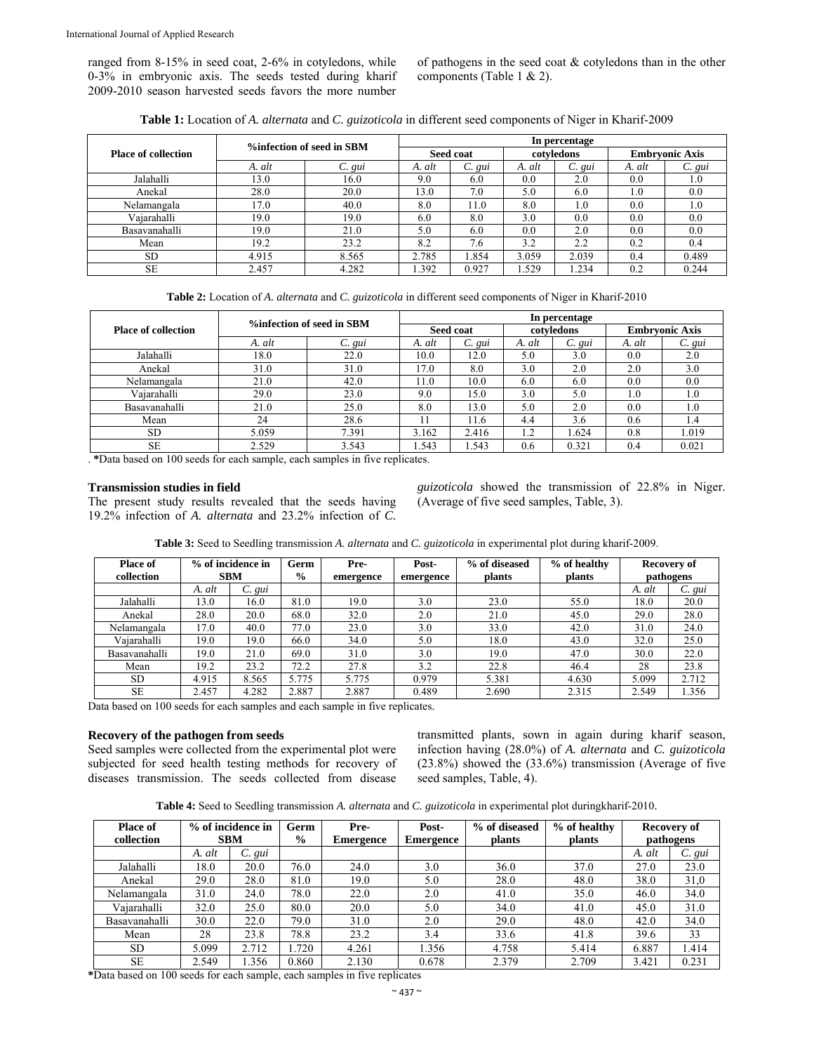ranged from 8-15% in seed coat, 2-6% in cotyledons, while 0-3% in embryonic axis. The seeds tested during kharif 2009-2010 season harvested seeds favors the more number

of pathogens in the seed coat & cotyledons than in the other components (Table 1 & 2).

|  |  |  | Table 1: Location of A. alternata and C. guizoticola in different seed components of Niger in Kharif-2009 |
|--|--|--|-----------------------------------------------------------------------------------------------------------|
|--|--|--|-----------------------------------------------------------------------------------------------------------|

| <b>Place of collection</b> | %infection of seed in SBM |        | In percentage |        |            |             |                       |             |  |
|----------------------------|---------------------------|--------|---------------|--------|------------|-------------|-----------------------|-------------|--|
|                            |                           |        | Seed coat     |        | cotyledons |             | <b>Embryonic Axis</b> |             |  |
|                            | A. alt                    | C. gui | A. alt        | C. gui | A. alt     | $C. \, gui$ | A. alt                | $C. \, gui$ |  |
| Jalahalli                  | 13.0                      | 16.0   | 9.0           | 6.0    | 0.0        | 2.0         | 0.0                   | 1.0         |  |
| Anekal                     | 28.0                      | 20.0   | 13.0          | 7.0    | 5.0        | 6.0         | 1.0                   | 0.0         |  |
| Nelamangala                | 17.0                      | 40.0   | 8.0           | 11.0   | 8.0        | 1.0         | 0.0                   | 0.1         |  |
| Vajarahalli                | 19.0                      | 19.0   | 6.0           | 8.0    | 3.0        | 0.0         | 0.0                   | 0.0         |  |
| Basavanahalli              | 19.0                      | 21.0   | 5.0           | 6.0    | 0.0        | 2.0         | 0.0                   | 0.0         |  |
| Mean                       | 19.2                      | 23.2   | 8.2           | 7.6    | 3.2        | 2.2         | 0.2                   | 0.4         |  |
| <b>SD</b>                  | 4.915                     | 8.565  | 2.785         | .854   | 3.059      | 2.039       | 0.4                   | 0.489       |  |
| <b>SE</b>                  | 2.457                     | 4.282  | .392          | 0.927  | .529       | 1.234       | 0.2                   | 0.244       |  |

**Table 2:** Location of *A. alternata* and *C. guizoticola* in different seed components of Niger in Kharif-2010

| <b>Place of collection</b> | %infection of seed in SBM |             | In percentage |        |            |             |                       |         |
|----------------------------|---------------------------|-------------|---------------|--------|------------|-------------|-----------------------|---------|
|                            |                           |             | Seed coat     |        | cotyledons |             | <b>Embryonic Axis</b> |         |
|                            | A. alt                    | $C. \, gui$ | A. alt        | C. gui | A. alt     | $C. \, gui$ | A. alt                | C. gui  |
| Jalahalli                  | 18.0                      | 22.0        | 10.0          | 12.0   | 5.0        | 3.0         | 0.0                   | 2.0     |
| Anekal                     | 31.0                      | 31.0        | 17.0          | 8.0    | 3.0        | 2.0         | 2.0                   | 3.0     |
| Nelamangala                | 21.0                      | 42.0        | 11.0          | 10.0   | 6.0        | 6.0         | 0.0                   | 0.0     |
| Vajarahalli                | 29.0                      | 23.0        | 9.0           | 15.0   | 3.0        | 5.0         | 1.0                   | $1.0\,$ |
| Basavanahalli              | 21.0                      | 25.0        | 8.0           | 13.0   | 5.0        | 2.0         | 0.0                   | 1.0     |
| Mean                       | 24                        | 28.6        |               | 11.6   | 4.4        | 3.6         | 0.6                   | 1.4     |
| <b>SD</b>                  | 5.059                     | 7.391       | 3.162         | 2.416  | 1.2        | .624        | 0.8                   | 1.019   |
| <b>SE</b>                  | 2.529                     | 3.543       | .543          | .543   | 0.6        | 0.321       | 0.4                   | 0.021   |

. **\***Data based on 100 seeds for each sample, each samples in five replicates.

#### **Transmission studies in field**

The present study results revealed that the seeds having 19.2% infection of *A. alternata* and 23.2% infection of *C.* 

*guizoticola* showed the transmission of 22.8% in Niger. (Average of five seed samples, Table, 3).

| Table 3: Seed to Seedling transmission A. alternata and C. guizoticola in experimental plot during kharif-2009. |  |  |
|-----------------------------------------------------------------------------------------------------------------|--|--|
|                                                                                                                 |  |  |

| <b>Place of</b> | % of incidence in |        | Germ          | Pre-      | Post-     | % of diseased | % of healthy |        | Recovery of |
|-----------------|-------------------|--------|---------------|-----------|-----------|---------------|--------------|--------|-------------|
| collection      | <b>SBM</b>        |        | $\frac{0}{0}$ | emergence | emergence | plants        | plants       |        | pathogens   |
|                 | A. alt            | C. gui |               |           |           |               |              | A. alt | C. gui      |
| Jalahalli       | 13.0              | 16.0   | 81.0          | 19.0      | 3.0       | 23.0          | 55.0         | 18.0   | 20.0        |
| Anekal          | 28.0              | 20.0   | 68.0          | 32.0      | 2.0       | 21.0          | 45.0         | 29.0   | 28.0        |
| Nelamangala     | 17.0              | 40.0   | 77.0          | 23.0      | 3.0       | 33.0          | 42.0         | 31.0   | 24.0        |
| Vaiarahalli     | 19.0              | 19.0   | 66.0          | 34.0      | 5.0       | 18.0          | 43.0         | 32.0   | 25.0        |
| Basavanahalli   | 19.0              | 21.0   | 69.0          | 31.0      | 3.0       | 19.0          | 47.0         | 30.0   | 22.0        |
| Mean            | 19.2              | 23.2   | 72.2          | 27.8      | 3.2       | 22.8          | 46.4         | 28     | 23.8        |
| SD.             | 4.915             | 8.565  | 5.775         | 5.775     | 0.979     | 5.381         | 4.630        | 5.099  | 2.712       |
| SE              | 2.457             | 4.282  | 2.887         | 2.887     | 0.489     | 2.690         | 2.315        | 2.549  | .356        |

Data based on 100 seeds for each samples and each sample in five replicates.

## **Recovery of the pathogen from seeds**

Seed samples were collected from the experimental plot were subjected for seed health testing methods for recovery of diseases transmission. The seeds collected from disease transmitted plants, sown in again during kharif season, infection having (28.0%) of *A. alternata* and *C. guizoticola* (23.8%) showed the (33.6%) transmission (Average of five seed samples, Table, 4).

**Table 4:** Seed to Seedling transmission *A. alternata* and *C. guizoticola* in experimental plot duringkharif-2010.

| <b>Place of</b><br>collection | % of incidence in<br><b>SBM</b> |             | Germ<br>$\frac{0}{0}$ | Pre-<br><b>Emergence</b> | Post-<br>Emergence | % of diseased<br>plants | % of healthy<br>plants |        | Recovery of<br>pathogens |
|-------------------------------|---------------------------------|-------------|-----------------------|--------------------------|--------------------|-------------------------|------------------------|--------|--------------------------|
|                               | A. alt                          | $C. \, gui$ |                       |                          |                    |                         |                        | A. alt | $C. \, gui$              |
| Jalahalli                     | 18.0                            | 20.0        | 76.0                  | 24.0                     | 3.0                | 36.0                    | 37.0                   | 27.0   | 23.0                     |
| Anekal                        | 29.0                            | 28.0        | 81.0                  | 19.0                     | 5.0                | 28.0                    | 48.0                   | 38.0   | 31,0                     |
| Nelamangala                   | 31.0                            | 24.0        | 78.0                  | 22.0                     | 2.0                | 41.0                    | 35.0                   | 46.0   | 34.0                     |
| Vaiarahalli                   | 32.0                            | 25.0        | 80.0                  | 20.0                     | 5.0                | 34.0                    | 41.0                   | 45.0   | 31.0                     |
| Basavanahalli                 | 30.0                            | 22.0        | 79.0                  | 31.0                     | 2.0                | 29.0                    | 48.0                   | 42.0   | 34.0                     |
| Mean                          | 28                              | 23.8        | 78.8                  | 23.2                     | 3.4                | 33.6                    | 41.8                   | 39.6   | 33                       |
| <b>SD</b>                     | 5.099                           | 2.712       | .720                  | 4.261                    | 1.356              | 4.758                   | 5.414                  | 6.887  | 414،،                    |
| <b>SE</b>                     | 2.549                           | .356        | 0.860                 | 2.130                    | 0.678              | 2.379                   | 2.709                  | 3.421  | 0.231                    |

**\***Data based on 100 seeds for each sample, each samples in five replicates